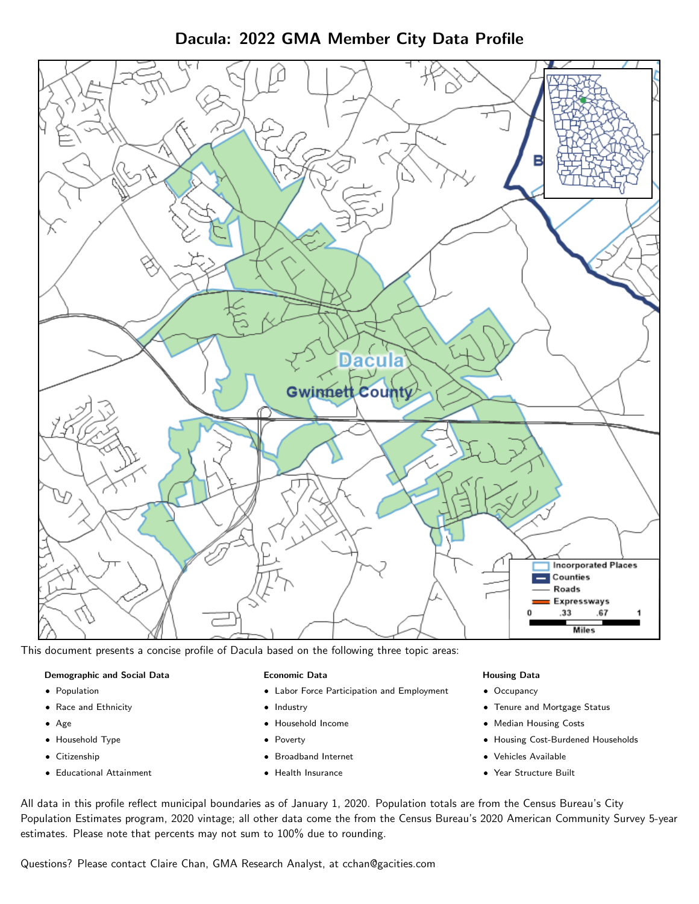Dacula: 2022 GMA Member City Data Profile



This document presents a concise profile of Dacula based on the following three topic areas:

### Demographic and Social Data

- **•** Population
- Race and Ethnicity
- Age
- Household Type
- **Citizenship**
- Educational Attainment

### Economic Data

- Labor Force Participation and Employment
- Industry
- Household Income
- Poverty
- Broadband Internet
- Health Insurance

### Housing Data

- Occupancy
- Tenure and Mortgage Status
- Median Housing Costs
- Housing Cost-Burdened Households
- Vehicles Available
- Year Structure Built

All data in this profile reflect municipal boundaries as of January 1, 2020. Population totals are from the Census Bureau's City Population Estimates program, 2020 vintage; all other data come the from the Census Bureau's 2020 American Community Survey 5-year estimates. Please note that percents may not sum to 100% due to rounding.

Questions? Please contact Claire Chan, GMA Research Analyst, at [cchan@gacities.com.](mailto:cchan@gacities.com)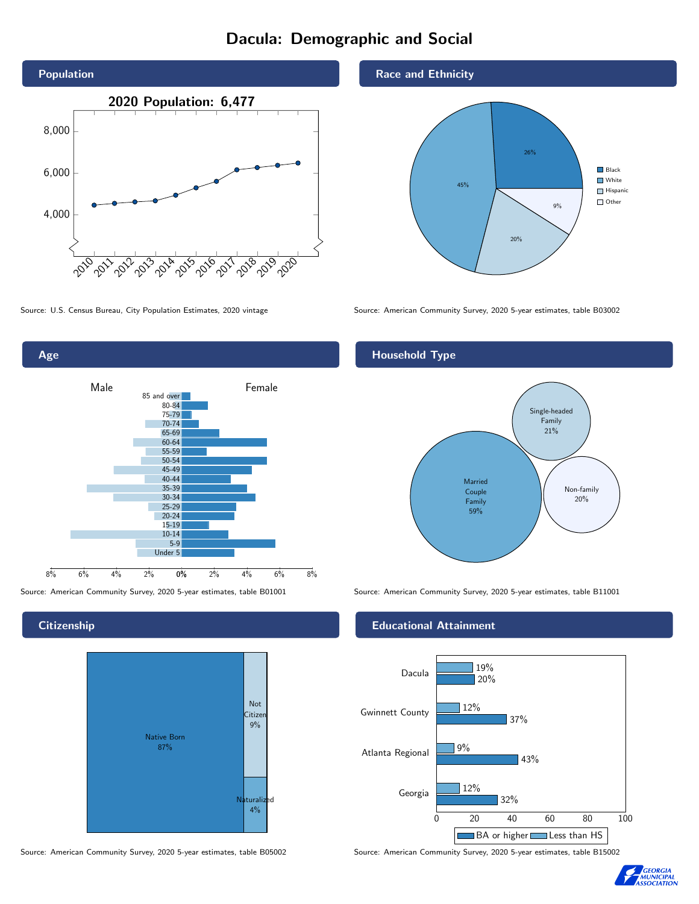# Dacula: Demographic and Social





**Citizenship** 



Source: American Community Survey, 2020 5-year estimates, table B05002 Source: American Community Survey, 2020 5-year estimates, table B15002

Race and Ethnicity



Source: U.S. Census Bureau, City Population Estimates, 2020 vintage Source: American Community Survey, 2020 5-year estimates, table B03002

## Household Type



Source: American Community Survey, 2020 5-year estimates, table B01001 Source: American Community Survey, 2020 5-year estimates, table B11001

## Educational Attainment



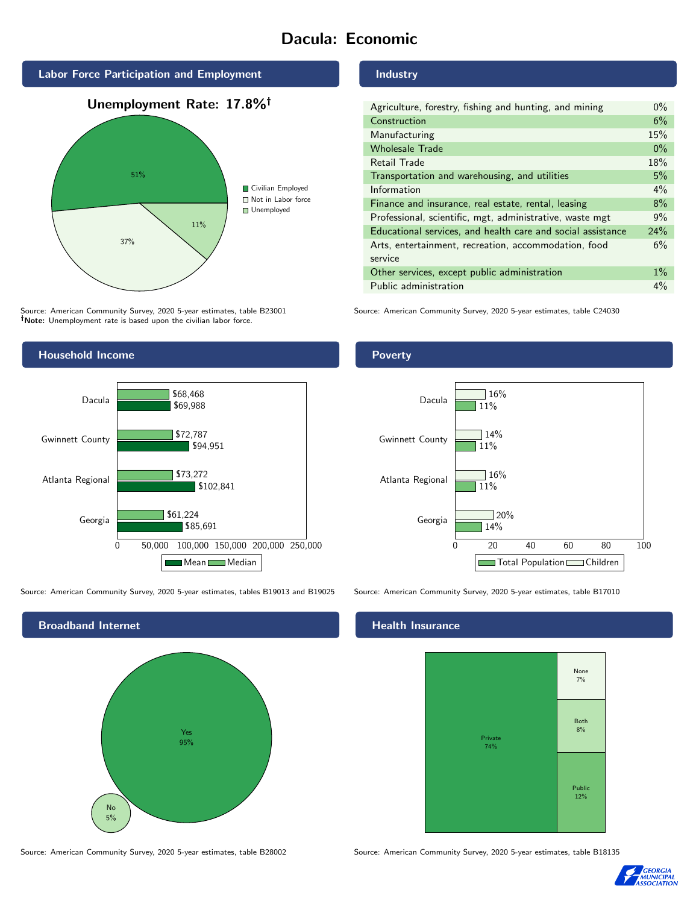# Dacula: Economic







Source: American Community Survey, 2020 5-year estimates, table B23001 Note: Unemployment rate is based upon the civilian labor force.



Source: American Community Survey, 2020 5-year estimates, tables B19013 and B19025 Source: American Community Survey, 2020 5-year estimates, table B17010



Source: American Community Survey, 2020 5-year estimates, table B28002 Source: American Community Survey, 2020 5-year estimates, table B18135

#### Industry

| Agriculture, forestry, fishing and hunting, and mining      | $0\%$ |
|-------------------------------------------------------------|-------|
| Construction                                                | 6%    |
| Manufacturing                                               | 15%   |
| <b>Wholesale Trade</b>                                      | $0\%$ |
| Retail Trade                                                | 18%   |
| Transportation and warehousing, and utilities               | 5%    |
| Information                                                 | $4\%$ |
| Finance and insurance, real estate, rental, leasing         | 8%    |
| Professional, scientific, mgt, administrative, waste mgt    | 9%    |
| Educational services, and health care and social assistance | 24%   |
| Arts, entertainment, recreation, accommodation, food        | 6%    |
| service                                                     |       |
| Other services, except public administration                | $1\%$ |
| Public administration                                       | 4%    |

Source: American Community Survey, 2020 5-year estimates, table C24030

## Poverty



# **Health Insurance**